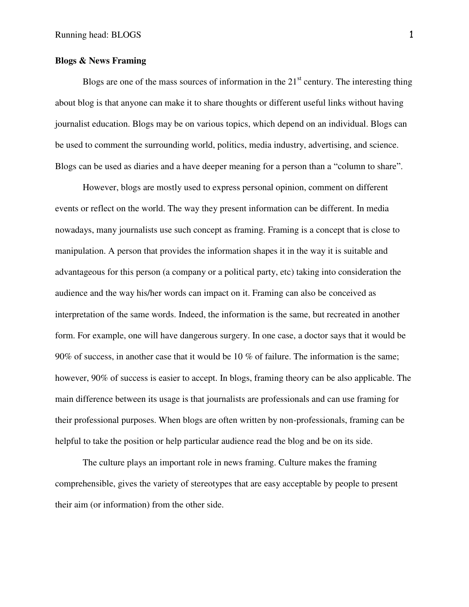# **Blogs & News Framing**

Blogs are one of the mass sources of information in the  $21<sup>st</sup>$  century. The interesting thing about blog is that anyone can make it to share thoughts or different useful links without having journalist education. Blogs may be on various topics, which depend on an individual. Blogs can be used to comment the surrounding world, politics, media industry, advertising, and science. Blogs can be used as diaries and a have deeper meaning for a person than a "column to share".

However, blogs are mostly used to express personal opinion, comment on different events or reflect on the world. The way they present information can be different. In media nowadays, many journalists use such concept as framing. Framing is a concept that is close to manipulation. A person that provides the information shapes it in the way it is suitable and advantageous for this person (a company or a political party, etc) taking into consideration the audience and the way his/her words can impact on it. Framing can also be conceived as interpretation of the same words. Indeed, the information is the same, but recreated in another form. For example, one will have dangerous surgery. In one case, a doctor says that it would be 90% of success, in another case that it would be 10 % of failure. The information is the same; however, 90% of success is easier to accept. In blogs, framing theory can be also applicable. The main difference between its usage is that journalists are professionals and can use framing for their professional purposes. When blogs are often written by non-professionals, framing can be helpful to take the position or help particular audience read the blog and be on its side.

The culture plays an important role in news framing. Culture makes the framing comprehensible, gives the variety of stereotypes that are easy acceptable by people to present their aim (or information) from the other side.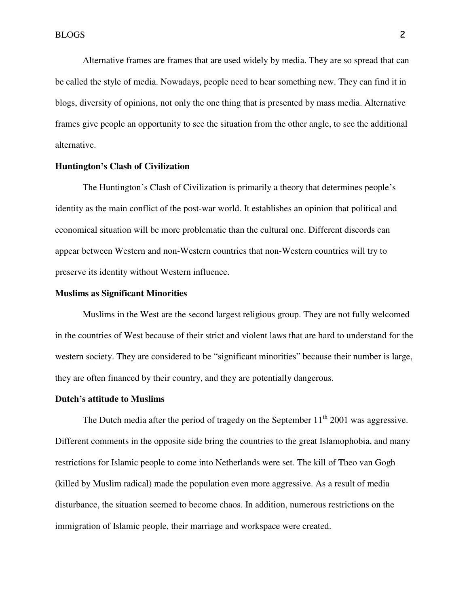Alternative frames are frames that are used widely by media. They are so spread that can be called the style of media. Nowadays, people need to hear something new. They can find it in blogs, diversity of opinions, not only the one thing that is presented by mass media. Alternative frames give people an opportunity to see the situation from the other angle, to see the additional alternative.

# **Huntington's Clash of Civilization**

The Huntington's Clash of Civilization is primarily a theory that determines people's identity as the main conflict of the post-war world. It establishes an opinion that political and economical situation will be more problematic than the cultural one. Different discords can appear between Western and non-Western countries that non-Western countries will try to preserve its identity without Western influence.

## **Muslims as Significant Minorities**

Muslims in the West are the second largest religious group. They are not fully welcomed in the countries of West because of their strict and violent laws that are hard to understand for the western society. They are considered to be "significant minorities" because their number is large, they are often financed by their country, and they are potentially dangerous.

#### **Dutch's attitude to Muslims**

The Dutch media after the period of tragedy on the September  $11<sup>th</sup>$  2001 was aggressive. Different comments in the opposite side bring the countries to the great Islamophobia, and many restrictions for Islamic people to come into Netherlands were set. The kill of Theo van Gogh (killed by Muslim radical) made the population even more aggressive. As a result of media disturbance, the situation seemed to become chaos. In addition, numerous restrictions on the immigration of Islamic people, their marriage and workspace were created.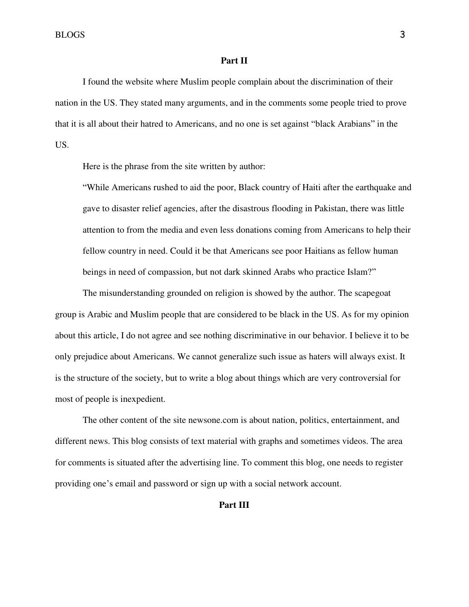BLOGS 3

## **Part II**

I found the website where Muslim people complain about the discrimination of their nation in the US. They stated many arguments, and in the comments some people tried to prove that it is all about their hatred to Americans, and no one is set against "black Arabians" in the US.

Here is the phrase from the site written by author:

"While Americans rushed to aid the poor, Black country of Haiti after the earthquake and gave to disaster relief agencies, after the disastrous flooding in Pakistan, there was little attention to from the media and even less donations coming from Americans to help their fellow country in need. Could it be that Americans see poor Haitians as fellow human beings in need of compassion, but not dark skinned Arabs who practice Islam?"

The misunderstanding grounded on religion is showed by the author. The scapegoat group is Arabic and Muslim people that are considered to be black in the US. As for my opinion about this article, I do not agree and see nothing discriminative in our behavior. I believe it to be only prejudice about Americans. We cannot generalize such issue as haters will always exist. It is the structure of the society, but to write a blog about things which are very controversial for most of people is inexpedient.

The other content of the site newsone.com is about nation, politics, entertainment, and different news. This blog consists of text material with graphs and sometimes videos. The area for comments is situated after the advertising line. To comment this blog, one needs to register providing one's email and password or sign up with a social network account.

# **Part III**